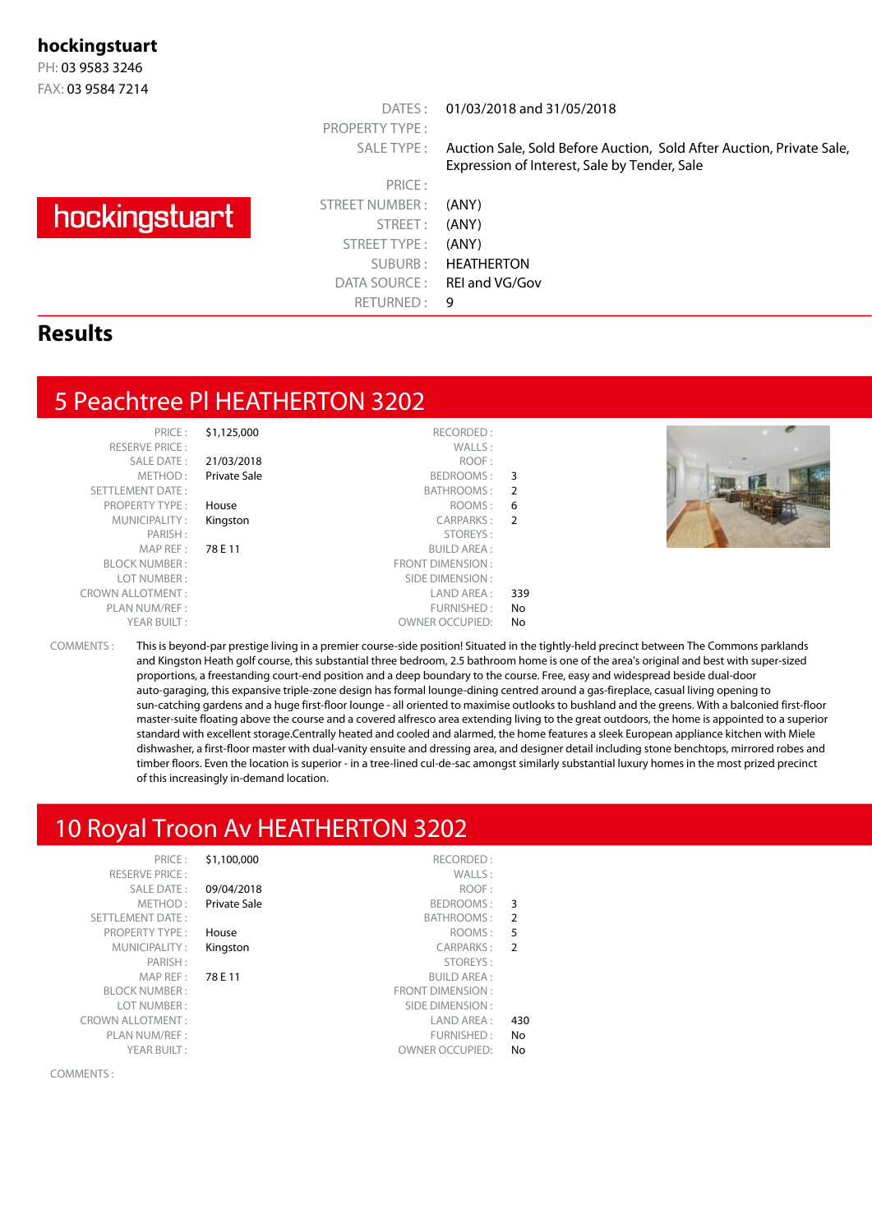#### **hockingstuart**

PH: 03 9583 3246 FAX: 03 9584 7214

# hockingstuart

PRICE : STREET NUMBER : (ANY) STREET: (ANY) STREET TYPE : (ANY) DATA SOURCE: REI and VG/Gov RETURNED: 9

PROPERTY TYPE :

DATES : 01/03/2018 and 31/05/2018

SALE TYPE : Auction Sale, Sold Before Auction, Sold After Auction, Private Sale, Expression of Interest, Sale by Tender, Sale

SUBURB : HEATHERTON

#### **Results**

#### 5 Peachtree Pl HEATHERTON 3202

| PRIL F                  |
|-------------------------|
| <b>RESERVE PRICE:</b>   |
| SAI F DATF:             |
| MFTHOD:                 |
| <b>SETTLEMENT DATE:</b> |
| <b>PROPERTY TYPE:</b>   |
| MUNICIPALITY:           |
| PARISH:                 |
| MAP RFF:                |
| <b>BI OCK NUMBER :</b>  |
| LOT NUMBER :            |
| CROWN ALLOTMENT :       |
| PLAN NUM/REF:           |
| YFAR BUILT:             |
|                         |

|                | \$1,125,000<br>RECORDED:      | PRICE:                  |
|----------------|-------------------------------|-------------------------|
|                | WALLS:                        | <b>RESERVE PRICE:</b>   |
|                | ROOF:<br>21/03/2018           | <b>SALE DATE:</b>       |
| 3              | Private Sale<br>BEDROOMS:     | METHOD:                 |
| $\overline{2}$ | BATHROOMS:                    | <b>SETTLEMENT DATE:</b> |
| 6              | ROOMS:<br>House               | <b>PROPERTY TYPE:</b>   |
| $\mathcal{P}$  | CARPARKS:<br>Kingston         | MUNICIPALITY:           |
|                | STOREYS:                      | PARISH:                 |
|                | 78 E 11<br><b>BUILD AREA:</b> | MAP REF:                |
|                | <b>FRONT DIMENSION:</b>       | <b>BLOCK NUMBER:</b>    |
|                | SIDE DIMENSION:               | LOT NUMBER:             |
| 339            | LAND AREA:                    | <b>CROWN ALLOTMENT:</b> |
| No             | FURNISHED:                    | PLAN NUM/REF:           |
| No             | <b>OWNER OCCUPIED:</b>        | YEAR BUILT:             |
|                |                               |                         |



COMMENTS : This is beyond-par prestige living in a premier course-side position! Situated in the tightly-held precinct between The Commons parklands and Kingston Heath golf course, this substantial three bedroom, 2.5 bathroom home is one of the area's original and best with super-sized proportions, a freestanding court-end position and a deep boundary to the course. Free, easy and widespread beside dual-door auto-garaging, this expansive triple-zone design has formal lounge-dining centred around a gas-fireplace, casual living opening to sun-catching gardens and a huge first-floor lounge - all oriented to maximise outlooks to bushland and the greens. With a balconied first-floor master-suite floating above the course and a covered alfresco area extending living to the great outdoors, the home is appointed to a superior standard with excellent storage.Centrally heated and cooled and alarmed, the home features a sleek European appliance kitchen with Miele dishwasher, a first-floor master with dual-vanity ensuite and dressing area, and designer detail including stone benchtops, mirrored robes and timber floors. Even the location is superior - in a tree-lined cul-de-sac amongst similarly substantial luxury homes in the most prized precinct of this increasingly in-demand location.

### 10 Royal Troon Av HEATHERTON 3202

|                | \$1,100,000<br>KELUKDED :     | PRICE:                  |
|----------------|-------------------------------|-------------------------|
|                | WALLS:                        | <b>RESERVE PRICE:</b>   |
|                | 09/04/2018<br>ROOF:           | <b>SALE DATE:</b>       |
| 3              | Private Sale<br>BEDROOMS:     | METHOD:                 |
| $\overline{2}$ | BATHROOMS:                    | <b>SETTLEMENT DATE:</b> |
| 5              | ROOMS:<br>House               | <b>PROPERTY TYPE:</b>   |
| $\overline{2}$ | CARPARKS:<br>Kingston         | MUNICIPALITY:           |
|                | STOREYS:                      | PARISH:                 |
|                | 78 E 11<br><b>BUILD AREA:</b> | MAP REF:                |
|                | <b>FRONT DIMENSION:</b>       | <b>BLOCK NUMBER:</b>    |
|                | SIDE DIMENSION:               | LOT NUMBER:             |
| 430            | LAND AREA:                    | <b>EROWN ALLOTMENT:</b> |
| No             | FURNISHED:                    | PLAN NUM/REF:           |
| No             | <b>OWNER OCCUPIED:</b>        | YEAR BUILT:             |

COMMENTS :

**S1.100.000** RECORDED : RESERVE PRICE : WALLS : 09/04/2018 Private Sale SETTLEMENT DATE : SETTLEMENT DATE : SETTLEMENT DATE : SETTLEMENT DATE : SETTLEMENT DATE : SETTLEMENT DATE : SETTLEMENT DATE : SETTLEMENT DATE : SETTLEMENT DATE : SETTLEMENT DATE : SETTLEMENT DATE : SETTLEMENT DATE : SETTLE PROPERTY TYPE : **House Example 20 AM SET ALCOMS : 5** Kingston PARISH : STOREYS : MAP REF : 78 E 11 BUILD AREA : BLOCK NUMBER : FRONT DIMENSION : LOT NUMBER : SIDE DIMENSION : CROWN ALLOTMENT :  $\qquad \qquad$  LAND AREA :  $\qquad 430$ 

|                | RECURDED:               | 31,100,000   | PNICE:                |
|----------------|-------------------------|--------------|-----------------------|
|                | WALLS:                  |              | <b>RESERVE PRICE:</b> |
|                | ROOF:                   | 09/04/2018   | <b>SALE DATE:</b>     |
| 3              | BEDROOMS:               | Private Sale | METHOD:               |
| $\overline{2}$ | BATHROOMS:              |              | TLEMENT DATE:         |
| 5              | ROOMS:                  | House        | PROPERTY TYPE:        |
| $\overline{2}$ | CARPARKS:               | Kingston     | MUNICIPALITY:         |
|                | STOREYS:                |              | PARISH:               |
|                | <b>BUILD AREA:</b>      | 78 E 11      | MAP REF:              |
|                | <b>FRONT DIMENSION:</b> |              | <b>BLOCK NUMBER :</b> |
|                | SIDE DIMENSION:         |              | LOT NUMBER:           |
| 430            | LAND AREA :             |              | VN ALLOTMENT:         |
| N <sub>o</sub> | FURNISHED:              |              | PLAN NUM/REF:         |
|                |                         |              |                       |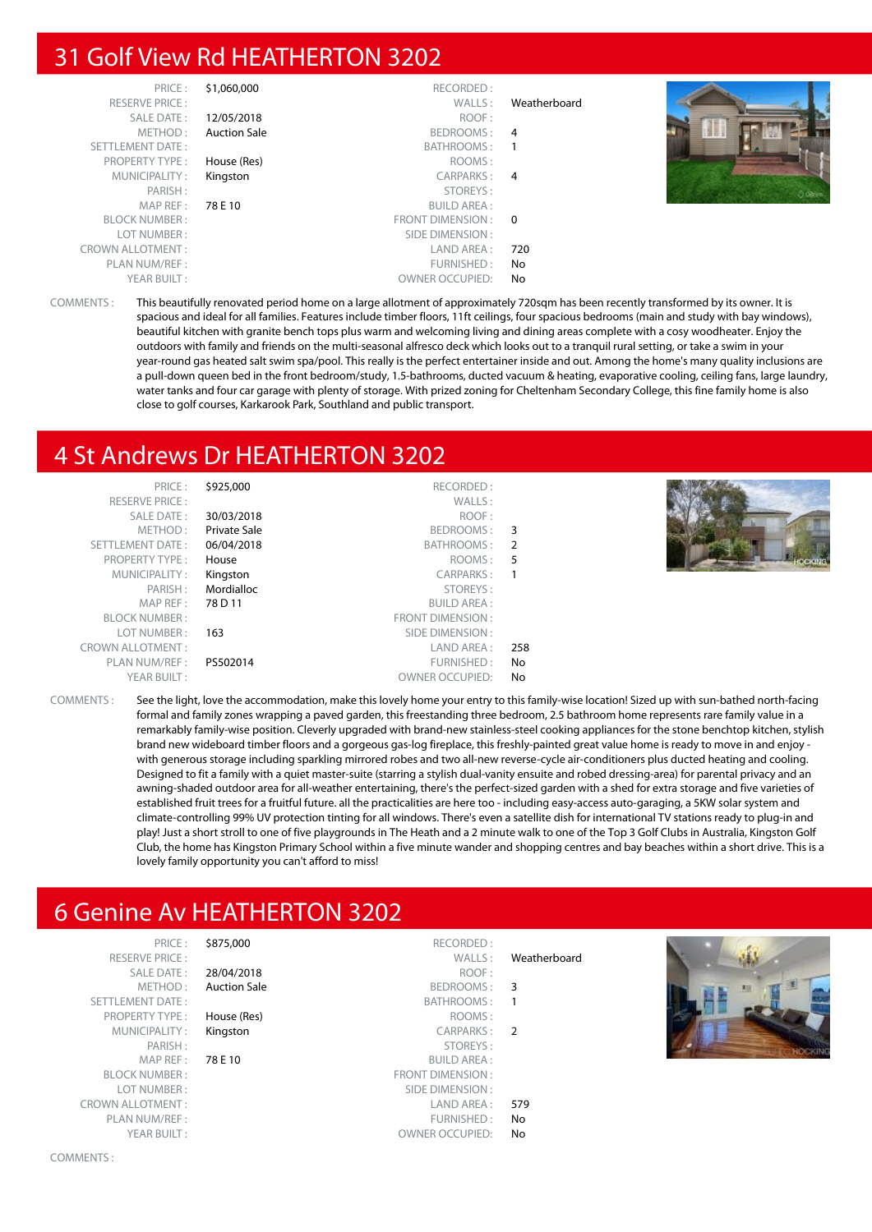## 31 Golf View Rd HEATHERTON 3202

| PRICE:                  | \$1,060,000         | RECORDED:              |                |         |
|-------------------------|---------------------|------------------------|----------------|---------|
| <b>RESERVE PRICE:</b>   |                     | WALLS:                 | Weatherboard   |         |
| SALE DATE:              | 12/05/2018          | ROOF:                  |                |         |
| METHOD:                 | <b>Auction Sale</b> | BEDROOMS:              | 4              |         |
| SETTLEMENT DATE:        |                     | BATHROOMS:             |                |         |
| <b>PROPERTY TYPE:</b>   | House (Res)         | ROOMS:                 |                |         |
| MUNICIPALITY:           | Kingston            | CARPARKS:              | $\overline{4}$ |         |
| PARISH:                 |                     | STOREYS:               |                | O OBbie |
| MAP REF :               | 78 E 10             | <b>BUILD AREA:</b>     |                |         |
| <b>BLOCK NUMBER:</b>    |                     | FRONT DIMENSION: 0     |                |         |
| LOT NUMBER:             |                     | SIDE DIMENSION :       |                |         |
| <b>CROWN ALLOTMENT:</b> |                     | LAND AREA :            | 720            |         |
| PLAN NUM/REF :          |                     | FURNISHED:             | No             |         |
| YEAR BUILT:             |                     | <b>OWNER OCCUPIED:</b> | No             |         |

COMMENTS : This beautifully renovated period home on a large allotment of approximately 720sqm has been recently transformed by its owner. It is spacious and ideal for all families. Features include timber floors, 11ft ceilings, four spacious bedrooms (main and study with bay windows), beautiful kitchen with granite bench tops plus warm and welcoming living and dining areas complete with a cosy woodheater. Enjoy the outdoors with family and friends on the multi-seasonal alfresco deck which looks out to a tranquil rural setting, or take a swim in your year-round gas heated salt swim spa/pool. This really is the perfect entertainer inside and out. Among the home's many quality inclusions are a pull-down queen bed in the front bedroom/study, 1.5-bathrooms, ducted vacuum & heating, evaporative cooling, ceiling fans, large laundry, water tanks and four car garage with plenty of storage. With prized zoning for Cheltenham Secondary College, this fine family home is also close to golf courses, Karkarook Park, Southland and public transport.

#### 4 St Andrews Dr HEATHERTON 3202

| PRICE:                  | \$925,000    | RECORDED:               |     |  |
|-------------------------|--------------|-------------------------|-----|--|
| <b>RESERVE PRICE:</b>   |              | WALLS:                  |     |  |
| SALE DATE:              | 30/03/2018   | ROOF:                   |     |  |
| METHOD:                 | Private Sale | BEDROOMS:               | 3   |  |
| SETTLEMENT DATE:        | 06/04/2018   | BATHROOMS:              | 2   |  |
| <b>PROPERTY TYPE:</b>   | House        | ROOMS:                  | 5   |  |
| MUNICIPALITY:           | Kingston     | <b>CARPARKS:</b>        | 1   |  |
| PARISH:                 | Mordialloc   | STOREYS:                |     |  |
| MAP REF:                | 78 D 11      | <b>BUILD AREA:</b>      |     |  |
| <b>BLOCK NUMBER:</b>    |              | <b>FRONT DIMENSION:</b> |     |  |
| LOT NUMBER:             | 163          | SIDE DIMENSION:         |     |  |
| <b>CROWN ALLOTMENT:</b> |              | LAND AREA :             | 258 |  |
| PLAN NUM/REF:           | PS502014     | FURNISHED:              | No  |  |
| YEAR BUILT:             |              | <b>OWNER OCCUPIED:</b>  | No  |  |
|                         |              |                         |     |  |



COMMENTS : See the light, love the accommodation, make this lovely home your entry to this family-wise location! Sized up with sun-bathed north-facing formal and family zones wrapping a paved garden, this freestanding three bedroom, 2.5 bathroom home represents rare family value in a remarkably family-wise position. Cleverly upgraded with brand-new stainless-steel cooking appliances for the stone benchtop kitchen, stylish brand new wideboard timber floors and a gorgeous gas-log fireplace, this freshly-painted great value home is ready to move in and enjoy with generous storage including sparkling mirrored robes and two all-new reverse-cycle air-conditioners plus ducted heating and cooling. Designed to fit a family with a quiet master-suite (starring a stylish dual-vanity ensuite and robed dressing-area) for parental privacy and an awning-shaded outdoor area for all-weather entertaining, there's the perfect-sized garden with a shed for extra storage and five varieties of established fruit trees for a fruitful future. all the practicalities are here too - including easy-access auto-garaging, a 5KW solar system and climate-controlling 99% UV protection tinting for all windows. There's even a satellite dish for international TV stations ready to plug-in and play! Just a short stroll to one of five playgrounds in The Heath and a 2 minute walk to one of the Top 3 Golf Clubs in Australia, Kingston Golf Club, the home has Kingston Primary School within a five minute wander and shopping centres and bay beaches within a short drive. This is a lovely family opportunity you can't afford to miss!

## 6 Genine Av HEATHERTON 3202

| PRICE:                  | \$875,000           | RECORDED:              |                         |        |
|-------------------------|---------------------|------------------------|-------------------------|--------|
| <b>RESERVE PRICE:</b>   |                     | WALLS:                 | Weatherboard            |        |
| SALE DATE:              | 28/04/2018          | ROOF:                  |                         |        |
| METHOD:                 | <b>Auction Sale</b> | BEDROOMS:              | $\overline{\mathbf{3}}$ |        |
| SETTLEMENT DATE:        |                     | BATHROOMS:             |                         |        |
| <b>PROPERTY TYPE:</b>   | House (Res)         | ROOMS:                 |                         |        |
| MUNICIPALITY:           | Kingston            | CARPARKS: 2            |                         |        |
| PARISH:                 |                     | STOREYS:               |                         | HOCKIN |
| MAP REF:                | 78 E 10             | <b>BUILD AREA:</b>     |                         |        |
| <b>BLOCK NUMBER:</b>    |                     | FRONT DIMENSION:       |                         |        |
| LOT NUMBER:             |                     | SIDE DIMENSION :       |                         |        |
| <b>CROWN ALLOTMENT:</b> |                     | LAND AREA :            | 579                     |        |
| PLAN NUM/REF:           |                     | FURNISHED:             | No                      |        |
| YEAR BUILT:             |                     | <b>OWNER OCCUPIED:</b> | No                      |        |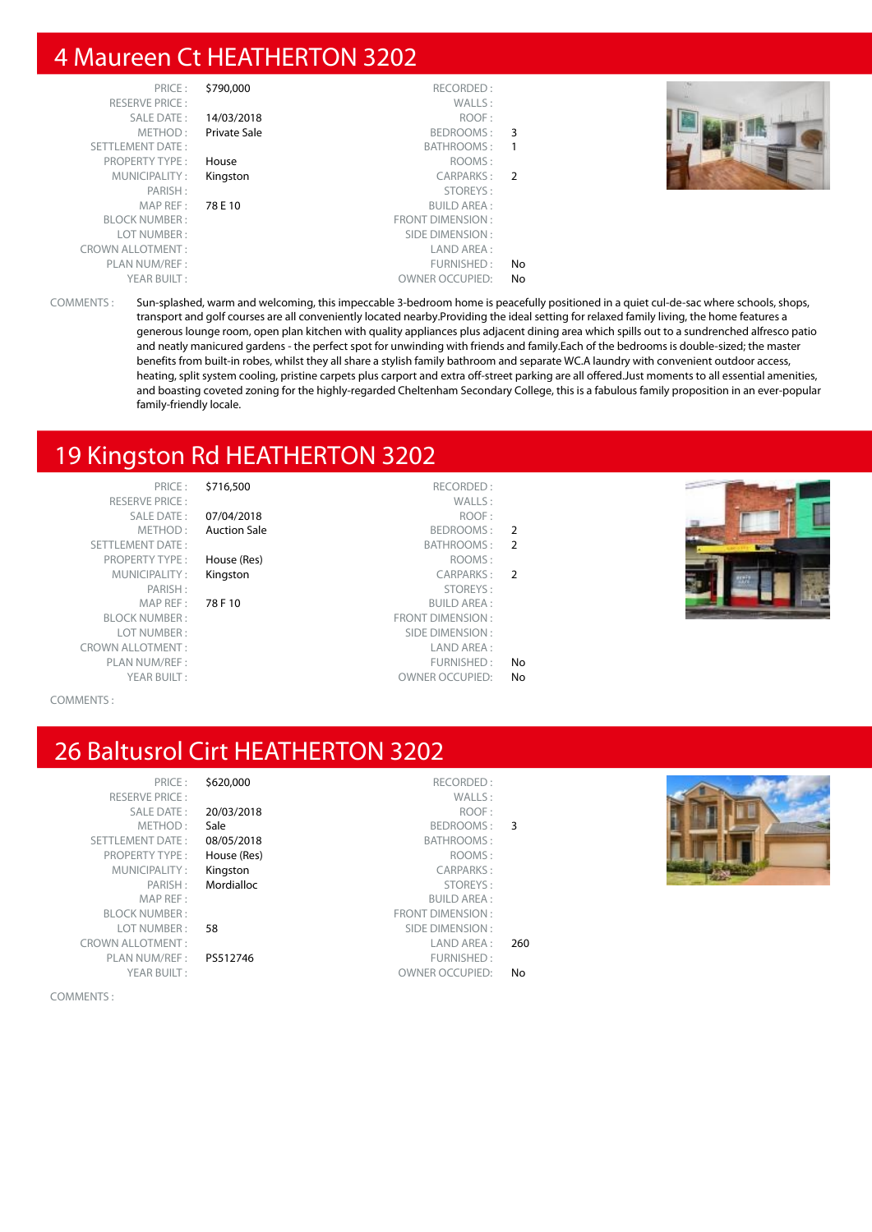### 4 Maureen Ct HEATHERTON 3202

| PRICE:                  | \$790,000    | RECORDED:               |               |  |
|-------------------------|--------------|-------------------------|---------------|--|
| <b>RESERVE PRICE:</b>   |              | WALLS:                  |               |  |
| SALE DATE:              | 14/03/2018   | ROOF:                   |               |  |
| METHOD:                 | Private Sale | BEDROOMS:               | 3             |  |
| <b>SETTLEMENT DATE:</b> |              | BATHROOMS:              |               |  |
| <b>PROPERTY TYPE:</b>   | House        | ROOMS:                  |               |  |
| MUNICIPALITY:           | Kingston     | CARPARKS:               | $\mathcal{P}$ |  |
| PARISH:                 |              | STOREYS:                |               |  |
| MAP REF :               | 78 E 10      | <b>BUILD AREA:</b>      |               |  |
| <b>BLOCK NUMBER:</b>    |              | <b>FRONT DIMENSION:</b> |               |  |
| LOT NUMBER:             |              | SIDE DIMENSION:         |               |  |
| <b>CROWN ALLOTMENT:</b> |              | LAND AREA :             |               |  |
| PLAN NUM/REF:           |              | FURNISHED:              | No            |  |
| YEAR BUILT:             |              | <b>OWNER OCCUPIED:</b>  | No            |  |



COMMENTS : Sun-splashed, warm and welcoming, this impeccable 3-bedroom home is peacefully positioned in a quiet cul-de-sac where schools, shops, transport and golf courses are all conveniently located nearby.Providing the ideal setting for relaxed family living, the home features a generous lounge room, open plan kitchen with quality appliances plus adjacent dining area which spills out to a sundrenched alfresco patio and neatly manicured gardens - the perfect spot for unwinding with friends and family.Each of the bedrooms is double-sized; the master benefits from built-in robes, whilst they all share a stylish family bathroom and separate WC.A laundry with convenient outdoor access, heating, split system cooling, pristine carpets plus carport and extra off-street parking are all offered.Just moments to all essential amenities, and boasting coveted zoning for the highly-regarded Cheltenham Secondary College, this is a fabulous family proposition in an ever-popular family-friendly locale.

### 19 Kingston Rd HEATHERTON 3202

RESERVE PRICE : WALLS :<br>SALE DATE : 07/04/2018 SETTLEMENT DATE: PROPERTY TYPE : House (Res) MUNICIPALITY : Kingston MAP REF : 78 F 10<br>NUMBER : FROM BLOCK NUMBER :<br>
I OT NUMBER :<br>
S LOT NUMBER : CROWN ALLOTMENT: PLAN NUM/REF :

PRICE : \$716,500 RECORDED :<br>PRICE : WALLS : SALE DATE: 07/04/2018 METHOD: Auction Sale

|                | $\sqrt{2}$              | <u>VIIV IILV IV</u>             |
|----------------|-------------------------|---------------------------------|
| $\overline{2}$ | BEDROOMS:               | <b>Auction Sale</b><br>METHOD : |
| $\overline{2}$ | BATHROOMS:              | MENT DATE:                      |
|                | ROOMS:                  | PERTY TYPE:<br>House (Res)      |
| $\overline{2}$ | CARPARKS:               | JNICIPALITY:<br>Kingston        |
|                | STOREYS:                | PARISH:                         |
|                | <b>BUILD AREA:</b>      | 78 F 10<br>MAP REF:             |
|                | <b>FRONT DIMENSION:</b> | CK NUMBER :                     |
|                | SIDE DIMENSION:         | OT NUMBER :                     |
|                | LAND AREA:              | ALLOTMENT :                     |
| No             | FURNISHED:              | N NUM/REF :                     |
| No             | <b>OWNER OCCUPIED:</b>  | YEAR BUILT:                     |



#### COMMENTS :

## 26 Baltusrol Cirt HEATHERTON 3202

| \$620,000 | PRICF:                  |
|-----------|-------------------------|
|           | <b>RESERVE PRICE:</b>   |
| 20/03/20  | <b>SALE DATE:</b>       |
| Sale      | METHOD:                 |
| 08/05/20  | <b>SETTLEMENT DATE:</b> |
| House (Re | <b>PROPERTY TYPE:</b>   |
| Kingston  | MUNICIPALITY:           |
| Mordiallo | PARISH:                 |
|           | MAP RFF:                |
|           | <b>BI OCK NUMBER:</b>   |
| 58        | LOT NUMBER:             |
|           | ROWN ALLOTMENT:         |
| PS512746  | PLAN NUM/REF:           |
|           | YEAR BUILT:             |
|           |                         |

#### PS512746

|                | RECORDED:<br>\$620,000       | PRICE:                  |
|----------------|------------------------------|-------------------------|
|                | WALLS:                       | <b>RESERVE PRICE:</b>   |
|                | 20/03/2018<br>ROOF:          | <b>SALE DATE:</b>       |
| 3              | Sale<br>BEDROOMS:            | METHOD:                 |
|                | 08/05/2018<br>BATHROOMS:     | <b>SETTLEMENT DATE:</b> |
|                | ROOMS:<br>House (Res)        | <b>PROPERTY TYPE:</b>   |
|                | <b>CARPARKS:</b><br>Kingston | MUNICIPALITY:           |
|                | STOREYS:<br>Mordialloc       | PARISH:                 |
|                | <b>BUILD AREA:</b>           | MAP REF:                |
|                | <b>FRONT DIMENSION:</b>      | <b>BLOCK NUMBER:</b>    |
|                | SIDE DIMENSION:<br>58        | LOT NUMBER:             |
| 260            | LAND AREA:                   | <b>CROWN ALLOTMENT:</b> |
|                | PS512746<br>FURNISHED:       | PLAN NUM/REF:           |
| N <sub>o</sub> | <b>OWNER OCCUPIED:</b>       | YEAR BUILT:             |



COMMENTS :